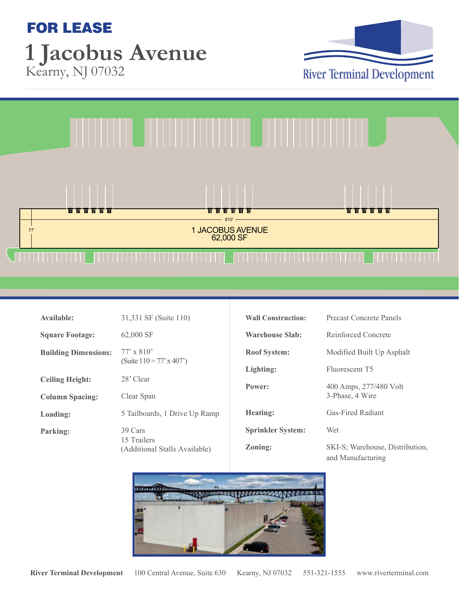## FOR LEASE **1 Jacobus Avenue** Kearny, NJ 07032





| Available:                  | 31,331 SF (Suite 110)                                   |
|-----------------------------|---------------------------------------------------------|
| <b>Square Footage:</b>      | 62,000 SF                                               |
| <b>Building Dimensions:</b> | $77' \times 810'$<br>(Suite $110 = 77$ ' x 407')        |
| <b>Ceiling Height:</b>      | 28' Clear                                               |
| <b>Column Spacing:</b>      | Clear Span                                              |
| Loading:                    | 5 Tailboards, 1 Drive Up Ramp                           |
| Parking:                    | 39 Cars<br>15 Trailers<br>(Additional Stalls Available) |

| <b>Wall Construction:</b> | <b>Precast Concrete Panels</b>                       |
|---------------------------|------------------------------------------------------|
| <b>Warehouse Slab:</b>    | Reinforced Concrete                                  |
| <b>Roof System:</b>       | Modified Built Up Asphalt                            |
| Lighting:                 | Fluorescent T5                                       |
| Power:                    | 400 Amps, 277/480 Volt<br>3-Phase, 4 Wire            |
| <b>Heating:</b>           | <b>Gas-Fired Radiant</b>                             |
| <b>Sprinkler System:</b>  | Wet                                                  |
| <b>Zoning:</b>            | SKI-S; Warehouse, Distribution,<br>and Manufacturing |